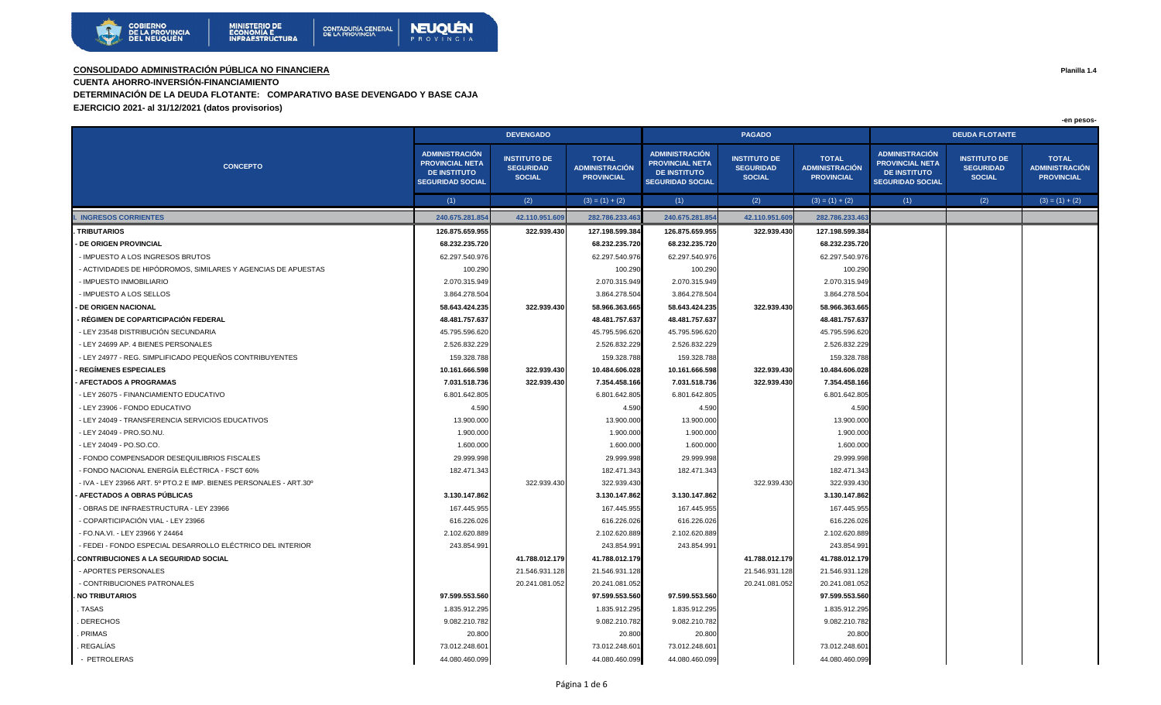

**CUENTA AHORRO-INVERSIÓN-FINANCIAMIENTO** 

**DETERMINACIÓN DE LA DEUDA FLOTANTE: COMPARATIVO BASE DEVENGADO Y BASE CAJA**

**EJERCICIO 2021- al 31/12/2021 (datos provisorios)**

|                                                                    | <b>DEVENGADO</b>                                                                                  |                                                          |                                                            |                                                                                                   | <b>PAGADO</b>                                            |                                                            | <b>DEUDA FLOTANTE</b>                                                                             |                                                          |                                                            |
|--------------------------------------------------------------------|---------------------------------------------------------------------------------------------------|----------------------------------------------------------|------------------------------------------------------------|---------------------------------------------------------------------------------------------------|----------------------------------------------------------|------------------------------------------------------------|---------------------------------------------------------------------------------------------------|----------------------------------------------------------|------------------------------------------------------------|
| <b>CONCEPTO</b>                                                    | <b>ADMINISTRACIÓN</b><br><b>PROVINCIAL NETA</b><br><b>DE INSTITUTO</b><br><b>SEGURIDAD SOCIAL</b> | <b>INSTITUTO DE</b><br><b>SEGURIDAD</b><br><b>SOCIAL</b> | <b>TOTAL</b><br><b>ADMINISTRACIÓN</b><br><b>PROVINCIAL</b> | <b>ADMINISTRACIÓN</b><br><b>PROVINCIAL NETA</b><br><b>DE INSTITUTO</b><br><b>SEGURIDAD SOCIAL</b> | <b>INSTITUTO DE</b><br><b>SEGURIDAD</b><br><b>SOCIAL</b> | <b>TOTAL</b><br><b>ADMINISTRACIÓN</b><br><b>PROVINCIAL</b> | <b>ADMINISTRACIÓN</b><br><b>PROVINCIAL NETA</b><br><b>DE INSTITUTO</b><br><b>SEGURIDAD SOCIAL</b> | <b>INSTITUTO DE</b><br><b>SEGURIDAD</b><br><b>SOCIAL</b> | <b>TOTAL</b><br><b>ADMINISTRACIÓN</b><br><b>PROVINCIAL</b> |
|                                                                    | (1)                                                                                               | (2)                                                      | $(3) = (1) + (2)$                                          | (1)                                                                                               | (2)                                                      | $(3) = (1) + (2)$                                          | (1)                                                                                               | (2)                                                      | $(3) = (1) + (2)$                                          |
| <b>INGRESOS CORRIENTES</b>                                         | 240.675.281.854                                                                                   | 42.110.951.609                                           | 282.786.233.463                                            | 240.675.281.854                                                                                   | 42.110.951.609                                           | 282.786.233.463                                            |                                                                                                   |                                                          |                                                            |
| <b>TRIBUTARIOS</b>                                                 | 126.875.659.955                                                                                   | 322.939.430                                              | 127.198.599.384                                            | 126.875.659.955                                                                                   | 322.939.430                                              | 127.198.599.384                                            |                                                                                                   |                                                          |                                                            |
| - DE ORIGEN PROVINCIAL                                             | 68.232.235.720                                                                                    |                                                          | 68.232.235.720                                             | 68.232.235.720                                                                                    |                                                          | 68.232.235.720                                             |                                                                                                   |                                                          |                                                            |
| - IMPUESTO A LOS INGRESOS BRUTOS                                   | 62.297.540.976                                                                                    |                                                          | 62.297.540.976                                             | 62.297.540.976                                                                                    |                                                          | 62.297.540.976                                             |                                                                                                   |                                                          |                                                            |
| - ACTIVIDADES DE HIPÓDROMOS, SIMILARES Y AGENCIAS DE APUESTAS      | 100.290                                                                                           |                                                          | 100.290                                                    | 100.290                                                                                           |                                                          | 100.290                                                    |                                                                                                   |                                                          |                                                            |
| - IMPUESTO INMOBILIARIO                                            | 2.070.315.949                                                                                     |                                                          | 2.070.315.949                                              | 2.070.315.949                                                                                     |                                                          | 2.070.315.949                                              |                                                                                                   |                                                          |                                                            |
| - IMPUESTO A LOS SELLOS                                            | 3.864.278.50                                                                                      |                                                          | 3.864.278.504                                              | 3.864.278.504                                                                                     |                                                          | 3.864.278.50                                               |                                                                                                   |                                                          |                                                            |
| <b>DE ORIGEN NACIONAL</b>                                          | 58.643.424.235                                                                                    | 322.939.430                                              | 58.966.363.665                                             | 58.643.424.235                                                                                    | 322.939.430                                              | 58.966.363.665                                             |                                                                                                   |                                                          |                                                            |
| - RÉGIMEN DE COPARTICIPACIÓN FEDERAL                               | 48.481.757.637                                                                                    |                                                          | 48.481.757.637                                             | 48.481.757.637                                                                                    |                                                          | 48.481.757.637                                             |                                                                                                   |                                                          |                                                            |
| - LEY 23548 DISTRIBUCIÓN SECUNDARIA                                | 45.795.596.620                                                                                    |                                                          | 45.795.596.620                                             | 45.795.596.620                                                                                    |                                                          | 45.795.596.620                                             |                                                                                                   |                                                          |                                                            |
| - LEY 24699 AP. 4 BIENES PERSONALES                                | 2.526.832.229                                                                                     |                                                          | 2.526.832.229                                              | 2.526.832.229                                                                                     |                                                          | 2.526.832.22                                               |                                                                                                   |                                                          |                                                            |
| - LEY 24977 - REG. SIMPLIFICADO PEQUEÑOS CONTRIBUYENTES            | 159.328.788                                                                                       |                                                          | 159.328.788                                                | 159.328.788                                                                                       |                                                          | 159.328.788                                                |                                                                                                   |                                                          |                                                            |
| <b>REGÍMENES ESPECIALES</b>                                        | 10.161.666.598                                                                                    | 322.939.430                                              | 10.484.606.028                                             | 10.161.666.598                                                                                    | 322.939.430                                              | 10.484.606.028                                             |                                                                                                   |                                                          |                                                            |
| <b>AFECTADOS A PROGRAMAS</b>                                       | 7.031.518.736                                                                                     | 322.939.430                                              | 7.354.458.166                                              | 7.031.518.736                                                                                     | 322.939.430                                              | 7.354.458.166                                              |                                                                                                   |                                                          |                                                            |
| - LEY 26075 - FINANCIAMIENTO EDUCATIVO                             | 6.801.642.805                                                                                     |                                                          | 6.801.642.805                                              | 6.801.642.805                                                                                     |                                                          | 6.801.642.80                                               |                                                                                                   |                                                          |                                                            |
| - LEY 23906 - FONDO EDUCATIVO                                      | 4.590                                                                                             |                                                          | 4.590                                                      | 4.590                                                                                             |                                                          | 4.590                                                      |                                                                                                   |                                                          |                                                            |
| - LEY 24049 - TRANSFERENCIA SERVICIOS EDUCATIVOS                   | 13.900.000                                                                                        |                                                          | 13.900.000                                                 | 13.900.000                                                                                        |                                                          | 13.900.000                                                 |                                                                                                   |                                                          |                                                            |
| - LEY 24049 - PRO.SO.NU.                                           | 1.900.000                                                                                         |                                                          | 1.900.000                                                  | 1.900.000                                                                                         |                                                          | 1.900.000                                                  |                                                                                                   |                                                          |                                                            |
| - LEY 24049 - PO.SO.CO.                                            | 1.600.000                                                                                         |                                                          | 1.600.000                                                  | 1.600.000                                                                                         |                                                          | 1.600.000                                                  |                                                                                                   |                                                          |                                                            |
| - FONDO COMPENSADOR DESEQUILIBRIOS FISCALES                        | 29.999.998                                                                                        |                                                          | 29.999.998                                                 | 29.999.998                                                                                        |                                                          | 29.999.998                                                 |                                                                                                   |                                                          |                                                            |
| - FONDO NACIONAL ENERGÍA ELÉCTRICA - FSCT 60%                      | 182.471.343                                                                                       |                                                          | 182.471.343                                                | 182.471.343                                                                                       |                                                          | 182.471.343                                                |                                                                                                   |                                                          |                                                            |
| - IVA - LEY 23966 ART. 5º PTO.2 E IMP. BIENES PERSONALES - ART.30º |                                                                                                   | 322.939.430                                              | 322.939.430                                                |                                                                                                   | 322.939.430                                              | 322.939.43                                                 |                                                                                                   |                                                          |                                                            |
| <b>AFECTADOS A OBRAS PÚBLICAS</b>                                  | 3.130.147.862                                                                                     |                                                          | 3.130.147.862                                              | 3.130.147.862                                                                                     |                                                          | 3.130.147.862                                              |                                                                                                   |                                                          |                                                            |
| - OBRAS DE INFRAESTRUCTURA - LEY 23966                             | 167.445.955                                                                                       |                                                          | 167.445.955                                                | 167.445.955                                                                                       |                                                          | 167.445.955                                                |                                                                                                   |                                                          |                                                            |
| - COPARTICIPACIÓN VIAL - LEY 23966                                 | 616.226.026                                                                                       |                                                          | 616.226.026                                                | 616.226.026                                                                                       |                                                          | 616.226.026                                                |                                                                                                   |                                                          |                                                            |
| - FO.NA.VI. - LEY 23966 Y 24464                                    | 2.102.620.889                                                                                     |                                                          | 2.102.620.889                                              | 2.102.620.889                                                                                     |                                                          | 2.102.620.889                                              |                                                                                                   |                                                          |                                                            |
| - FEDEI - FONDO ESPECIAL DESARROLLO ELÉCTRICO DEL INTERIOR         | 243.854.991                                                                                       |                                                          | 243.854.991                                                | 243.854.991                                                                                       |                                                          | 243.854.99                                                 |                                                                                                   |                                                          |                                                            |
| <b>CONTRIBUCIONES A LA SEGURIDAD SOCIAL</b>                        |                                                                                                   | 41.788.012.179                                           | 41.788.012.179                                             |                                                                                                   | 41.788.012.179                                           | 41.788.012.179                                             |                                                                                                   |                                                          |                                                            |
| - APORTES PERSONALES                                               |                                                                                                   | 21.546.931.128                                           | 21.546.931.128                                             |                                                                                                   | 21.546.931.128                                           | 21.546.931.128                                             |                                                                                                   |                                                          |                                                            |
| - CONTRIBUCIONES PATRONALES                                        |                                                                                                   | 20.241.081.052                                           | 20.241.081.052                                             |                                                                                                   | 20.241.081.052                                           | 20.241.081.052                                             |                                                                                                   |                                                          |                                                            |
| <b>NO TRIBUTARIOS</b>                                              | 97.599.553.560                                                                                    |                                                          | 97.599.553.560                                             | 97.599.553.560                                                                                    |                                                          | 97.599.553.560                                             |                                                                                                   |                                                          |                                                            |
| . TASAS                                                            | 1.835.912.295                                                                                     |                                                          | 1.835.912.295                                              | 1.835.912.295                                                                                     |                                                          | 1.835.912.295                                              |                                                                                                   |                                                          |                                                            |
| . DERECHOS                                                         | 9.082.210.782                                                                                     |                                                          | 9.082.210.782                                              | 9.082.210.782                                                                                     |                                                          | 9.082.210.782                                              |                                                                                                   |                                                          |                                                            |
| PRIMAS                                                             | 20.800                                                                                            |                                                          | 20.800                                                     | 20.800                                                                                            |                                                          | 20.800                                                     |                                                                                                   |                                                          |                                                            |
| REGALÍAS                                                           | 73.012.248.60                                                                                     |                                                          | 73.012.248.601                                             | 73.012.248.601                                                                                    |                                                          | 73.012.248.60                                              |                                                                                                   |                                                          |                                                            |
| - PETROLERAS                                                       | 44.080.460.099                                                                                    |                                                          | 44.080.460.099                                             | 44.080.460.099                                                                                    |                                                          | 44.080.460.099                                             |                                                                                                   |                                                          |                                                            |

**Planilla 1.4**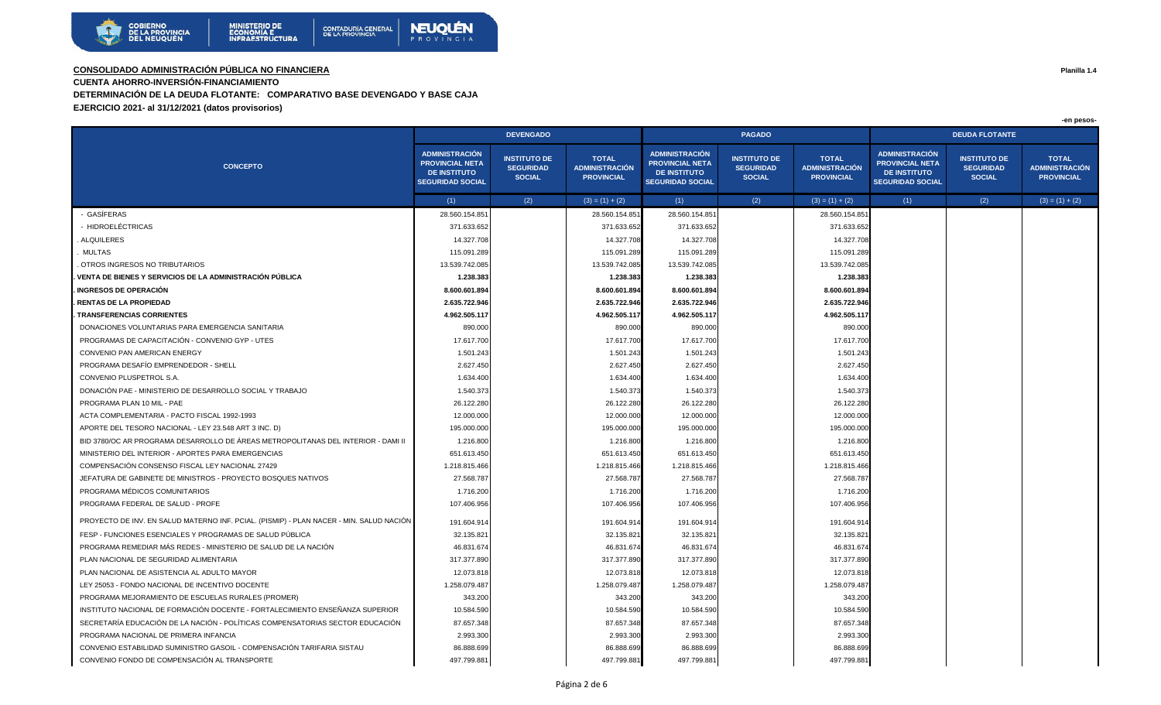

**CUENTA AHORRO-INVERSIÓN-FINANCIAMIENTO** 

**DETERMINACIÓN DE LA DEUDA FLOTANTE: COMPARATIVO BASE DEVENGADO Y BASE CAJA**

**EJERCICIO 2021- al 31/12/2021 (datos provisorios)**

|                                                                                         | <b>DEVENGADO</b>                                                                                  |                                                          |                                                            |                                                                                                   | <b>PAGADO</b>                                            |                                                            | <b>DEUDA FLOTANTE</b>                                                                             |                                                          |                                                            |  |
|-----------------------------------------------------------------------------------------|---------------------------------------------------------------------------------------------------|----------------------------------------------------------|------------------------------------------------------------|---------------------------------------------------------------------------------------------------|----------------------------------------------------------|------------------------------------------------------------|---------------------------------------------------------------------------------------------------|----------------------------------------------------------|------------------------------------------------------------|--|
| <b>CONCEPTO</b>                                                                         | <b>ADMINISTRACIÓN</b><br><b>PROVINCIAL NETA</b><br><b>DE INSTITUTO</b><br><b>SEGURIDAD SOCIAL</b> | <b>INSTITUTO DE</b><br><b>SEGURIDAD</b><br><b>SOCIAL</b> | <b>TOTAL</b><br><b>ADMINISTRACIÓN</b><br><b>PROVINCIAL</b> | <b>ADMINISTRACIÓN</b><br><b>PROVINCIAL NETA</b><br><b>DE INSTITUTO</b><br><b>SEGURIDAD SOCIAL</b> | <b>INSTITUTO DE</b><br><b>SEGURIDAD</b><br><b>SOCIAL</b> | <b>TOTAL</b><br><b>ADMINISTRACIÓN</b><br><b>PROVINCIAL</b> | <b>ADMINISTRACIÓN</b><br><b>PROVINCIAL NETA</b><br><b>DE INSTITUTO</b><br><b>SEGURIDAD SOCIAL</b> | <b>INSTITUTO DE</b><br><b>SEGURIDAD</b><br><b>SOCIAL</b> | <b>TOTAL</b><br><b>ADMINISTRACIÓN</b><br><b>PROVINCIAL</b> |  |
|                                                                                         | (1)                                                                                               | (2)                                                      | $(3) = (1) + (2)$                                          | (1)                                                                                               | (2)                                                      | $(3) = (1) + (2)$                                          | (1)                                                                                               | (2)                                                      | $(3) = (1) + (2)$                                          |  |
| - GASÍFERAS                                                                             | 28.560.154.851                                                                                    |                                                          | 28.560.154.85                                              | 28.560.154.851                                                                                    |                                                          | 28.560.154.85                                              |                                                                                                   |                                                          |                                                            |  |
| - HIDROELÉCTRICAS                                                                       | 371.633.652                                                                                       |                                                          | 371.633.652                                                | 371.633.652                                                                                       |                                                          | 371.633.65                                                 |                                                                                                   |                                                          |                                                            |  |
| <b>ALQUILERES</b>                                                                       | 14.327.708                                                                                        |                                                          | 14.327.708                                                 | 14.327.708                                                                                        |                                                          | 14.327.708                                                 |                                                                                                   |                                                          |                                                            |  |
| <b>MULTAS</b>                                                                           | 115.091.289                                                                                       |                                                          | 115.091.289                                                | 115.091.289                                                                                       |                                                          | 115.091.28                                                 |                                                                                                   |                                                          |                                                            |  |
| OTROS INGRESOS NO TRIBUTARIOS                                                           | 13.539.742.085                                                                                    |                                                          | 13.539.742.085                                             | 13.539.742.085                                                                                    |                                                          | 13.539.742.08                                              |                                                                                                   |                                                          |                                                            |  |
| VENTA DE BIENES Y SERVICIOS DE LA ADMINISTRACIÓN PÚBLICA                                | 1.238.383                                                                                         |                                                          | 1.238.383                                                  | 1.238.383                                                                                         |                                                          | 1.238.383                                                  |                                                                                                   |                                                          |                                                            |  |
| . INGRESOS DE OPERACIÓN                                                                 | 8.600.601.894                                                                                     |                                                          | 8.600.601.894                                              | 8.600.601.894                                                                                     |                                                          | 8.600.601.89                                               |                                                                                                   |                                                          |                                                            |  |
| . RENTAS DE LA PROPIEDAD                                                                | 2.635.722.946                                                                                     |                                                          | 2.635.722.946                                              | 2.635.722.946                                                                                     |                                                          | 2.635.722.94                                               |                                                                                                   |                                                          |                                                            |  |
| <b>TRANSFERENCIAS CORRIENTES</b>                                                        | 4.962.505.117                                                                                     |                                                          | 4.962.505.117                                              | 4.962.505.117                                                                                     |                                                          | 4.962.505.11                                               |                                                                                                   |                                                          |                                                            |  |
| DONACIONES VOLUNTARIAS PARA EMERGENCIA SANITARIA                                        | 890.000                                                                                           |                                                          | 890.000                                                    | 890.000                                                                                           |                                                          | 890.000                                                    |                                                                                                   |                                                          |                                                            |  |
| PROGRAMAS DE CAPACITACIÓN - CONVENIO GYP - UTES                                         | 17.617.700                                                                                        |                                                          | 17.617.700                                                 | 17.617.700                                                                                        |                                                          | 17.617.70                                                  |                                                                                                   |                                                          |                                                            |  |
| CONVENIO PAN AMERICAN ENERGY                                                            | 1.501.243                                                                                         |                                                          | 1.501.243                                                  | 1.501.243                                                                                         |                                                          | 1.501.243                                                  |                                                                                                   |                                                          |                                                            |  |
| PROGRAMA DESAFÍO EMPRENDEDOR - SHELL                                                    | 2.627.450                                                                                         |                                                          | 2.627.450                                                  | 2.627.450                                                                                         |                                                          | 2.627.450                                                  |                                                                                                   |                                                          |                                                            |  |
| CONVENIO PLUSPETROL S.A.                                                                | 1.634.400                                                                                         |                                                          | 1.634.400                                                  | 1.634.400                                                                                         |                                                          | 1.634.400                                                  |                                                                                                   |                                                          |                                                            |  |
| DONACIÓN PAE - MINISTERIO DE DESARROLLO SOCIAL Y TRABAJO                                | 1.540.373                                                                                         |                                                          | 1.540.373                                                  | 1.540.37                                                                                          |                                                          | 1.540.37                                                   |                                                                                                   |                                                          |                                                            |  |
| PROGRAMA PLAN 10 MIL - PAE                                                              | 26.122.280                                                                                        |                                                          | 26.122.280                                                 | 26.122.280                                                                                        |                                                          | 26.122.28                                                  |                                                                                                   |                                                          |                                                            |  |
| ACTA COMPLEMENTARIA - PACTO FISCAL 1992-1993                                            | 12.000.000                                                                                        |                                                          | 12.000.000                                                 | 12.000.000                                                                                        |                                                          | 12.000.000                                                 |                                                                                                   |                                                          |                                                            |  |
| APORTE DEL TESORO NACIONAL - LEY 23.548 ART 3 INC. D)                                   | 195.000.000                                                                                       |                                                          | 195.000.000                                                | 195.000.000                                                                                       |                                                          | 195.000.000                                                |                                                                                                   |                                                          |                                                            |  |
| BID 3780/OC AR PROGRAMA DESARROLLO DE ÁREAS METROPOLITANAS DEL INTERIOR - DAMI II       | 1.216.80                                                                                          |                                                          | 1.216.80                                                   | 1.216.800                                                                                         |                                                          | 1.216.80                                                   |                                                                                                   |                                                          |                                                            |  |
| MINISTERIO DEL INTERIOR - APORTES PARA EMERGENCIAS                                      | 651.613.450                                                                                       |                                                          | 651.613.450                                                | 651.613.450                                                                                       |                                                          | 651.613.45                                                 |                                                                                                   |                                                          |                                                            |  |
| COMPENSACIÓN CONSENSO FISCAL LEY NACIONAL 27429                                         | 1.218.815.466                                                                                     |                                                          | 1.218.815.466                                              | 1.218.815.466                                                                                     |                                                          | 1.218.815.466                                              |                                                                                                   |                                                          |                                                            |  |
| JEFATURA DE GABINETE DE MINISTROS - PROYECTO BOSQUES NATIVOS                            | 27.568.787                                                                                        |                                                          | 27.568.787                                                 | 27.568.787                                                                                        |                                                          | 27.568.78                                                  |                                                                                                   |                                                          |                                                            |  |
| PROGRAMA MÉDICOS COMUNITARIOS                                                           | 1.716.200                                                                                         |                                                          | 1.716.20                                                   | 1.716.200                                                                                         |                                                          | 1.716.200                                                  |                                                                                                   |                                                          |                                                            |  |
| PROGRAMA FEDERAL DE SALUD - PROFE                                                       | 107.406.956                                                                                       |                                                          | 107.406.956                                                | 107.406.956                                                                                       |                                                          | 107.406.956                                                |                                                                                                   |                                                          |                                                            |  |
| PROYECTO DE INV. EN SALUD MATERNO INF. PCIAL. (PISMIP) - PLAN NACER - MIN. SALUD NACIÓN | 191.604.914                                                                                       |                                                          | 191.604.914                                                | 191.604.914                                                                                       |                                                          | 191.604.91                                                 |                                                                                                   |                                                          |                                                            |  |
| FESP - FUNCIONES ESENCIALES Y PROGRAMAS DE SALUD PÚBLICA                                | 32.135.821                                                                                        |                                                          | 32.135.82                                                  | 32.135.821                                                                                        |                                                          | 32.135.82                                                  |                                                                                                   |                                                          |                                                            |  |
| PROGRAMA REMEDIAR MÁS REDES - MINISTERIO DE SALUD DE LA NACIÓN                          | 46.831.674                                                                                        |                                                          | 46.831.674                                                 | 46.831.674                                                                                        |                                                          | 46.831.67                                                  |                                                                                                   |                                                          |                                                            |  |
| PLAN NACIONAL DE SEGURIDAD ALIMENTARIA                                                  | 317.377.890                                                                                       |                                                          | 317.377.890                                                | 317.377.890                                                                                       |                                                          | 317.377.890                                                |                                                                                                   |                                                          |                                                            |  |
| PLAN NACIONAL DE ASISTENCIA AL ADULTO MAYOR                                             | 12.073.818                                                                                        |                                                          | 12.073.818                                                 | 12.073.818                                                                                        |                                                          | 12.073.81                                                  |                                                                                                   |                                                          |                                                            |  |
| LEY 25053 - FONDO NACIONAL DE INCENTIVO DOCENTE                                         | 1.258.079.487                                                                                     |                                                          | 1.258.079.487                                              | 1.258.079.487                                                                                     |                                                          | 1.258.079.48                                               |                                                                                                   |                                                          |                                                            |  |
| PROGRAMA MEJORAMIENTO DE ESCUELAS RURALES (PROMER)                                      | 343.200                                                                                           |                                                          | 343.200                                                    | 343.200                                                                                           |                                                          | 343.200                                                    |                                                                                                   |                                                          |                                                            |  |
| INSTITUTO NACIONAL DE FORMACIÓN DOCENTE - FORTALECIMIENTO ENSEÑANZA SUPERIOR            | 10.584.590                                                                                        |                                                          | 10.584.590                                                 | 10.584.590                                                                                        |                                                          | 10.584.590                                                 |                                                                                                   |                                                          |                                                            |  |
| SECRETARÍA EDUCACIÓN DE LA NACIÓN - POLÍTICAS COMPENSATORIAS SECTOR EDUCACIÓN           | 87.657.348                                                                                        |                                                          | 87.657.348                                                 | 87.657.348                                                                                        |                                                          | 87.657.348                                                 |                                                                                                   |                                                          |                                                            |  |
| PROGRAMA NACIONAL DE PRIMERA INFANCIA                                                   | 2.993.300                                                                                         |                                                          | 2.993.300                                                  | 2.993.300                                                                                         |                                                          | 2.993.30                                                   |                                                                                                   |                                                          |                                                            |  |
| CONVENIO ESTABILIDAD SUMINISTRO GASOIL - COMPENSACIÓN TARIFARIA SISTAU                  | 86.888.699                                                                                        |                                                          | 86.888.699                                                 | 86.888.699                                                                                        |                                                          | 86.888.699                                                 |                                                                                                   |                                                          |                                                            |  |
| CONVENIO FONDO DE COMPENSACIÓN AL TRANSPORTE                                            | 497.799.881                                                                                       |                                                          | 497.799.881                                                | 497.799.881                                                                                       |                                                          | 497.799.881                                                |                                                                                                   |                                                          |                                                            |  |

**Planilla 1.4**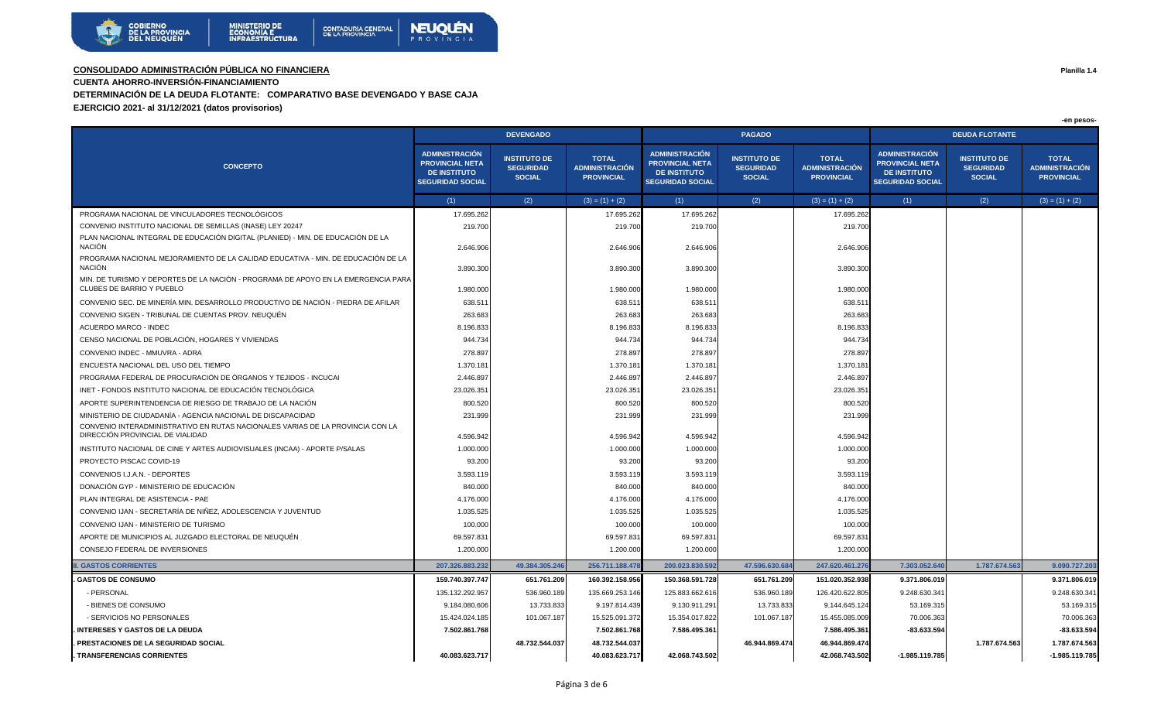

**CUENTA AHORRO-INVERSIÓN-FINANCIAMIENTO** 

**DETERMINACIÓN DE LA DEUDA FLOTANTE: COMPARATIVO BASE DEVENGADO Y BASE CAJA**

**EJERCICIO 2021- al 31/12/2021 (datos provisorios)**

|                                                                                                                    |                                                                                                   | <b>DEVENGADO</b>                                         |                                                            |                                                                                                   | <b>PAGADO</b>                                            |                                                            | <b>DEUDA FLOTANTE</b>                                                                             |                                                          |                                                            |
|--------------------------------------------------------------------------------------------------------------------|---------------------------------------------------------------------------------------------------|----------------------------------------------------------|------------------------------------------------------------|---------------------------------------------------------------------------------------------------|----------------------------------------------------------|------------------------------------------------------------|---------------------------------------------------------------------------------------------------|----------------------------------------------------------|------------------------------------------------------------|
| <b>CONCEPTO</b>                                                                                                    | <b>ADMINISTRACIÓN</b><br><b>PROVINCIAL NETA</b><br><b>DE INSTITUTO</b><br><b>SEGURIDAD SOCIAL</b> | <b>INSTITUTO DE</b><br><b>SEGURIDAD</b><br><b>SOCIAL</b> | <b>TOTAL</b><br><b>ADMINISTRACIÓN</b><br><b>PROVINCIAL</b> | <b>ADMINISTRACIÓN</b><br><b>PROVINCIAL NETA</b><br><b>DE INSTITUTO</b><br><b>SEGURIDAD SOCIAL</b> | <b>INSTITUTO DE</b><br><b>SEGURIDAD</b><br><b>SOCIAL</b> | <b>TOTAL</b><br><b>ADMINISTRACIÓN</b><br><b>PROVINCIAL</b> | <b>ADMINISTRACIÓN</b><br><b>PROVINCIAL NETA</b><br><b>DE INSTITUTO</b><br><b>SEGURIDAD SOCIAL</b> | <b>INSTITUTO DE</b><br><b>SEGURIDAD</b><br><b>SOCIAL</b> | <b>TOTAL</b><br><b>ADMINISTRACIÓN</b><br><b>PROVINCIAL</b> |
|                                                                                                                    | (1)                                                                                               | (2)                                                      | $(3) = (1) + (2)$                                          | (1)                                                                                               | (2)                                                      | $(3) = (1) + (2)$                                          | (1)                                                                                               | (2)                                                      | $(3) = (1) + (2)$                                          |
| PROGRAMA NACIONAL DE VINCULADORES TECNOLÓGICOS                                                                     | 17.695.262                                                                                        |                                                          | 17.695.262                                                 | 17.695.262                                                                                        |                                                          | 17.695.262                                                 |                                                                                                   |                                                          |                                                            |
| CONVENIO INSTITUTO NACIONAL DE SEMILLAS (INASE) LEY 20247                                                          | 219.700                                                                                           |                                                          | 219.700                                                    | 219.700                                                                                           |                                                          | 219.700                                                    |                                                                                                   |                                                          |                                                            |
| PLAN NACIONAL INTEGRAL DE EDUCACIÓN DIGITAL (PLANIED) - MIN. DE EDUCACIÓN DE LA<br><b>NACIÓN</b>                   | 2.646.906                                                                                         |                                                          | 2.646.906                                                  | 2.646.906                                                                                         |                                                          | 2.646.906                                                  |                                                                                                   |                                                          |                                                            |
| PROGRAMA NACIONAL MEJORAMIENTO DE LA CALIDAD EDUCATIVA - MIN. DE EDUCACIÓN DE LA<br><b>NACIÓN</b>                  | 3.890.300                                                                                         |                                                          | 3.890.300                                                  | 3.890.300                                                                                         |                                                          | 3.890.300                                                  |                                                                                                   |                                                          |                                                            |
| MIN. DE TURISMO Y DEPORTES DE LA NACIÓN - PROGRAMA DE APOYO EN LA EMERGENCIA PARA<br>CLUBES DE BARRIO Y PUEBLO     | 1.980.000                                                                                         |                                                          | 1.980.000                                                  | 1.980.000                                                                                         |                                                          | 1.980.000                                                  |                                                                                                   |                                                          |                                                            |
| CONVENIO SEC. DE MINERÍA MIN. DESARROLLO PRODUCTIVO DE NACIÓN - PIEDRA DE AFILAR                                   | 638.51                                                                                            |                                                          | 638.511                                                    | 638.511                                                                                           |                                                          | 638.51                                                     |                                                                                                   |                                                          |                                                            |
| CONVENIO SIGEN - TRIBUNAL DE CUENTAS PROV. NEUQUÉN                                                                 | 263.683                                                                                           |                                                          | 263.683                                                    | 263.683                                                                                           |                                                          | 263.68                                                     |                                                                                                   |                                                          |                                                            |
| <b>ACUERDO MARCO - INDEC</b>                                                                                       | 8.196.833                                                                                         |                                                          | 8.196.833                                                  | 8.196.833                                                                                         |                                                          | 8.196.83                                                   |                                                                                                   |                                                          |                                                            |
| CENSO NACIONAL DE POBLACIÓN, HOGARES Y VIVIENDAS                                                                   | 944.734                                                                                           |                                                          | 944.734                                                    | 944.734                                                                                           |                                                          | 944.734                                                    |                                                                                                   |                                                          |                                                            |
| CONVENIO INDEC - MMUVRA - ADRA                                                                                     | 278.897                                                                                           |                                                          | 278.897                                                    | 278.897                                                                                           |                                                          | 278.897                                                    |                                                                                                   |                                                          |                                                            |
| ENCUESTA NACIONAL DEL USO DEL TIEMPO                                                                               | 1.370.18                                                                                          |                                                          | 1.370.181                                                  | 1.370.181                                                                                         |                                                          | 1.370.18                                                   |                                                                                                   |                                                          |                                                            |
| PROGRAMA FEDERAL DE PROCURACIÓN DE ÓRGANOS Y TEJIDOS - INCUCAI                                                     | 2.446.897                                                                                         |                                                          | 2.446.897                                                  | 2.446.897                                                                                         |                                                          | 2.446.897                                                  |                                                                                                   |                                                          |                                                            |
| INET - FONDOS INSTITUTO NACIONAL DE EDUCACIÓN TECNOLÓGICA                                                          | 23.026.35                                                                                         |                                                          | 23.026.351                                                 | 23.026.351                                                                                        |                                                          | 23.026.35                                                  |                                                                                                   |                                                          |                                                            |
| APORTE SUPERINTENDENCIA DE RIESGO DE TRABAJO DE LA NACIÓN                                                          | 800.520                                                                                           |                                                          | 800.520                                                    | 800.520                                                                                           |                                                          | 800.520                                                    |                                                                                                   |                                                          |                                                            |
| MINISTERIO DE CIUDADANÍA - AGENCIA NACIONAL DE DISCAPACIDAD                                                        | 231.999                                                                                           |                                                          | 231.999                                                    | 231.999                                                                                           |                                                          | 231.999                                                    |                                                                                                   |                                                          |                                                            |
| CONVENIO INTERADMINISTRATIVO EN RUTAS NACIONALES VARIAS DE LA PROVINCIA CON LA<br>DIRECCIÓN PROVINCIAL DE VIALIDAD | 4.596.942                                                                                         |                                                          | 4.596.942                                                  | 4.596.942                                                                                         |                                                          | 4.596.942                                                  |                                                                                                   |                                                          |                                                            |
| INSTITUTO NACIONAL DE CINE Y ARTES AUDIOVISUALES (INCAA) - APORTE P/SALAS                                          | 1.000.000                                                                                         |                                                          | 1.000.000                                                  | 1.000.000                                                                                         |                                                          | 1.000.00                                                   |                                                                                                   |                                                          |                                                            |
| PROYECTO PISCAC COVID-19                                                                                           | 93.200                                                                                            |                                                          | 93.200                                                     | 93.200                                                                                            |                                                          | 93.200                                                     |                                                                                                   |                                                          |                                                            |
| CONVENIOS I.J.A.N. - DEPORTES                                                                                      | 3.593.119                                                                                         |                                                          | 3.593.119                                                  | 3.593.119                                                                                         |                                                          | 3.593.119                                                  |                                                                                                   |                                                          |                                                            |
| DONACIÓN GYP - MINISTERIO DE EDUCACIÓN                                                                             | 840.000                                                                                           |                                                          | 840.000                                                    | 840.000                                                                                           |                                                          | 840.00                                                     |                                                                                                   |                                                          |                                                            |
| PLAN INTEGRAL DE ASISTENCIA - PAE                                                                                  | 4.176.000                                                                                         |                                                          | 4.176.000                                                  | 4.176.000                                                                                         |                                                          | 4.176.00                                                   |                                                                                                   |                                                          |                                                            |
| CONVENIO IJAN - SECRETARÍA DE NIÑEZ, ADOLESCENCIA Y JUVENTUD                                                       | 1.035.525                                                                                         |                                                          | 1.035.525                                                  | 1.035.525                                                                                         |                                                          | 1.035.52                                                   |                                                                                                   |                                                          |                                                            |
| CONVENIO IJAN - MINISTERIO DE TURISMO                                                                              | 100.000                                                                                           |                                                          | 100.000                                                    | 100.000                                                                                           |                                                          | 100.000                                                    |                                                                                                   |                                                          |                                                            |
| APORTE DE MUNICIPIOS AL JUZGADO ELECTORAL DE NEUQUÉN                                                               | 69.597.83                                                                                         |                                                          | 69.597.831                                                 | 69.597.831                                                                                        |                                                          | 69.597.83                                                  |                                                                                                   |                                                          |                                                            |
| CONSEJO FEDERAL DE INVERSIONES                                                                                     | 1.200.000                                                                                         |                                                          | 1.200.000                                                  | 1.200.000                                                                                         |                                                          | 1.200.00                                                   |                                                                                                   |                                                          |                                                            |
| <b>. GASTOS CORRIENTES</b>                                                                                         | 207.326.883.232                                                                                   | 49.384.305.246                                           | 256.711.188.478                                            | 200.023.830.592                                                                                   | 47.596.630.684                                           | 247.620.461.27                                             | 7.303.052.640                                                                                     | 1.787.674.563                                            | 9.090.727.203                                              |
| <b>GASTOS DE CONSUMO</b>                                                                                           | 159.740.397.747                                                                                   | 651.761.209                                              | 160.392.158.956                                            | 150.368.591.728                                                                                   | 651.761.209                                              | 151.020.352.938                                            | 9.371.806.019                                                                                     |                                                          | 9.371.806.019                                              |
| - PERSONAL                                                                                                         | 135.132.292.957                                                                                   | 536.960.189                                              | 135.669.253.146                                            | 125.883.662.616                                                                                   | 536.960.189                                              | 126.420.622.805                                            | 9.248.630.341                                                                                     |                                                          | 9.248.630.341                                              |
| - BIENES DE CONSUMO                                                                                                | 9.184.080.606                                                                                     | 13.733.833                                               | 9.197.814.439                                              | 9.130.911.291                                                                                     | 13.733.833                                               | 9.144.645.124                                              | 53.169.315                                                                                        |                                                          | 53.169.315                                                 |
| - SERVICIOS NO PERSONALES                                                                                          | 15.424.024.185                                                                                    | 101.067.187                                              | 15.525.091.372                                             | 15.354.017.822                                                                                    | 101.067.187                                              | 15.455.085.009                                             | 70.006.363                                                                                        |                                                          | 70.006.363                                                 |
| <b>INTERESES Y GASTOS DE LA DEUDA</b>                                                                              | 7.502.861.768                                                                                     |                                                          | 7.502.861.768                                              | 7.586.495.361                                                                                     |                                                          | 7.586.495.36                                               | $-83.633.594$                                                                                     |                                                          | -83.633.594                                                |
| PRESTACIONES DE LA SEGURIDAD SOCIAL                                                                                |                                                                                                   | 48.732.544.037                                           | 48.732.544.037                                             |                                                                                                   | 46.944.869.474                                           | 46.944.869.474                                             |                                                                                                   | 1.787.674.563                                            | 1.787.674.563                                              |
| . TRANSFERENCIAS CORRIENTES                                                                                        | 40.083.623.717                                                                                    |                                                          | 40.083.623.717                                             | 42.068.743.502                                                                                    |                                                          | 42.068.743.502                                             | $-1.985.119.785$                                                                                  |                                                          | $-1.985.119.785$                                           |

**Planilla 1.4**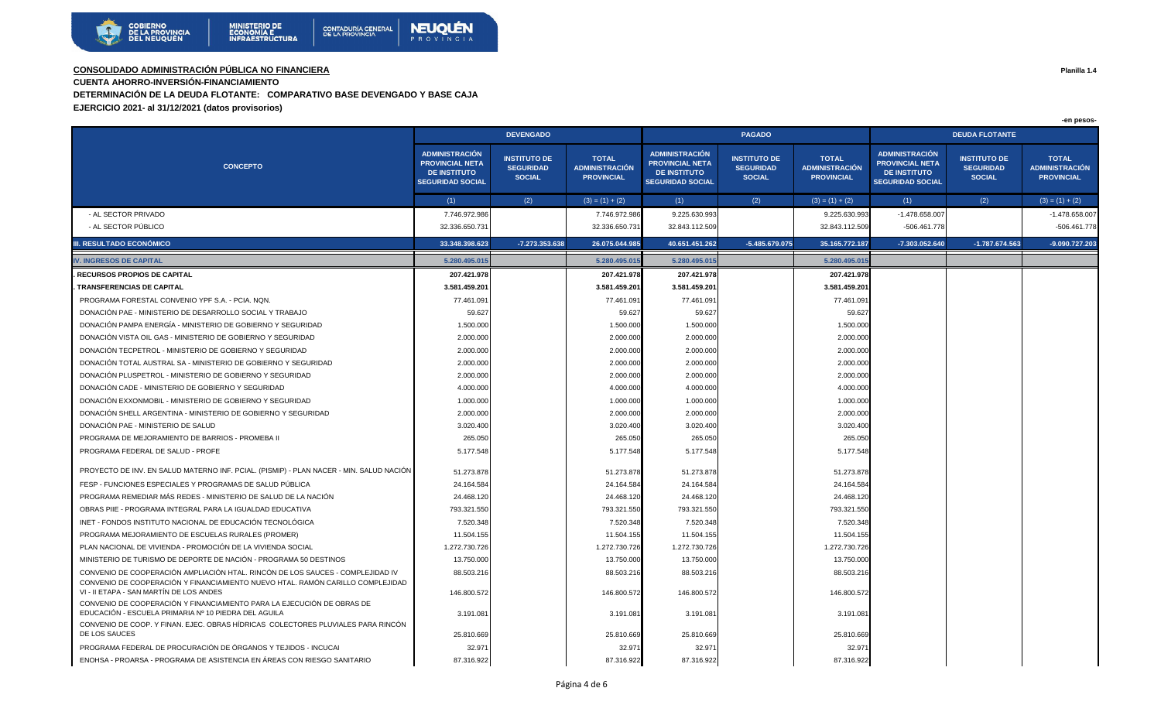

**CUENTA AHORRO-INVERSIÓN-FINANCIAMIENTO** 

**DETERMINACIÓN DE LA DEUDA FLOTANTE: COMPARATIVO BASE DEVENGADO Y BASE CAJA**

**EJERCICIO 2021- al 31/12/2021 (datos provisorios)**

|                                                                                                                                                                  | <b>DEVENGADO</b>                                                                                  |                                                          |                                                            |                                                                                                   | <b>PAGADO</b>                                            |                                                     | <b>DEUDA FLOTANTE</b>                                                                             |                                                          |                                                            |  |
|------------------------------------------------------------------------------------------------------------------------------------------------------------------|---------------------------------------------------------------------------------------------------|----------------------------------------------------------|------------------------------------------------------------|---------------------------------------------------------------------------------------------------|----------------------------------------------------------|-----------------------------------------------------|---------------------------------------------------------------------------------------------------|----------------------------------------------------------|------------------------------------------------------------|--|
| <b>CONCEPTO</b>                                                                                                                                                  | <b>ADMINISTRACIÓN</b><br><b>PROVINCIAL NETA</b><br><b>DE INSTITUTO</b><br><b>SEGURIDAD SOCIAL</b> | <b>INSTITUTO DE</b><br><b>SEGURIDAD</b><br><b>SOCIAL</b> | <b>TOTAL</b><br><b>ADMINISTRACIÓN</b><br><b>PROVINCIAL</b> | <b>ADMINISTRACIÓN</b><br><b>PROVINCIAL NETA</b><br><b>DE INSTITUTO</b><br><b>SEGURIDAD SOCIAL</b> | <b>INSTITUTO DE</b><br><b>SEGURIDAD</b><br><b>SOCIAL</b> | <b>TOTAL</b><br>ADMINISTRACIÓN<br><b>PROVINCIAL</b> | <b>ADMINISTRACIÓN</b><br><b>PROVINCIAL NETA</b><br><b>DE INSTITUTO</b><br><b>SEGURIDAD SOCIAL</b> | <b>INSTITUTO DE</b><br><b>SEGURIDAD</b><br><b>SOCIAL</b> | <b>TOTAL</b><br><b>ADMINISTRACIÓN</b><br><b>PROVINCIAL</b> |  |
|                                                                                                                                                                  | (1)                                                                                               | (2)                                                      | $(3) = (1) + (2)$                                          | (1)                                                                                               | (2)                                                      | $(3) = (1) + (2)$                                   | (1)                                                                                               | (2)                                                      | $(3) = (1) + (2)$                                          |  |
| - AL SECTOR PRIVADO                                                                                                                                              | 7.746.972.986                                                                                     |                                                          | 7.746.972.986                                              | 9.225.630.993                                                                                     |                                                          | 9.225.630.993                                       | $-1.478.658.007$                                                                                  |                                                          | -1.478.658.007                                             |  |
| - AL SECTOR PÚBLICO                                                                                                                                              | 32.336.650.731                                                                                    |                                                          | 32.336.650.73                                              | 32.843.112.509                                                                                    |                                                          | 32.843.112.509                                      | -506.461.778                                                                                      |                                                          | -506.461.778                                               |  |
| III. RESULTADO ECONÓMICO                                                                                                                                         | 33.348.398.623                                                                                    | -7.273.353.638                                           | 26.075.044.985                                             | 40.651.451.262                                                                                    | $-5.485.679.075$                                         | 35.165.772.187                                      | -7.303.052.640                                                                                    | $-1.787.674.563$                                         | -9.090.727.203                                             |  |
| <b>IV. INGRESOS DE CAPITAL</b>                                                                                                                                   | 5.280.495.015                                                                                     |                                                          | 5.280.495.01                                               | 5.280.495.01                                                                                      |                                                          | 5.280.495.01                                        |                                                                                                   |                                                          |                                                            |  |
| <b>RECURSOS PROPIOS DE CAPITAL</b>                                                                                                                               | 207.421.978                                                                                       |                                                          | 207.421.978                                                | 207.421.978                                                                                       |                                                          | 207.421.978                                         |                                                                                                   |                                                          |                                                            |  |
| <b>TRANSFERENCIAS DE CAPITAL</b>                                                                                                                                 | 3.581.459.201                                                                                     |                                                          | 3.581.459.201                                              | 3.581.459.201                                                                                     |                                                          | 3.581.459.20                                        |                                                                                                   |                                                          |                                                            |  |
| PROGRAMA FORESTAL CONVENIO YPF S.A. - PCIA. NQN.                                                                                                                 | 77.461.091                                                                                        |                                                          | 77.461.09                                                  | 77.461.091                                                                                        |                                                          | 77.461.09                                           |                                                                                                   |                                                          |                                                            |  |
| DONACIÓN PAE - MINISTERIO DE DESARROLLO SOCIAL Y TRABAJO                                                                                                         | 59.627                                                                                            |                                                          | 59.627                                                     | 59.627                                                                                            |                                                          | 59.627                                              |                                                                                                   |                                                          |                                                            |  |
| DONACIÓN PAMPA ENERGÍA - MINISTERIO DE GOBIERNO Y SEGURIDAD                                                                                                      | 1.500.000                                                                                         |                                                          | 1.500.000                                                  | 1.500.000                                                                                         |                                                          | 1.500.000                                           |                                                                                                   |                                                          |                                                            |  |
| DONACIÓN VISTA OIL GAS - MINISTERIO DE GOBIERNO Y SEGURIDAD                                                                                                      | 2.000.000                                                                                         |                                                          | 2.000.000                                                  | 2.000.000                                                                                         |                                                          | 2.000.000                                           |                                                                                                   |                                                          |                                                            |  |
| DONACIÓN TECPETROL - MINISTERIO DE GOBIERNO Y SEGURIDAD                                                                                                          | 2.000.000                                                                                         |                                                          | 2.000.000                                                  | 2.000.000                                                                                         |                                                          | 2.000.000                                           |                                                                                                   |                                                          |                                                            |  |
| DONACIÓN TOTAL AUSTRAL SA - MINISTERIO DE GOBIERNO Y SEGURIDAD                                                                                                   | 2.000.000                                                                                         |                                                          | 2.000.000                                                  | 2.000.000                                                                                         |                                                          | 2.000.000                                           |                                                                                                   |                                                          |                                                            |  |
| DONACIÓN PLUSPETROL - MINISTERIO DE GOBIERNO Y SEGURIDAD                                                                                                         | 2.000.000                                                                                         |                                                          | 2.000.000                                                  | 2.000.000                                                                                         |                                                          | 2.000.000                                           |                                                                                                   |                                                          |                                                            |  |
| DONACIÓN CADE - MINISTERIO DE GOBIERNO Y SEGURIDAD                                                                                                               | 4.000.000                                                                                         |                                                          | 4.000.000                                                  | 4.000.000                                                                                         |                                                          | 4.000.000                                           |                                                                                                   |                                                          |                                                            |  |
| DONACIÓN EXXONMOBIL - MINISTERIO DE GOBIERNO Y SEGURIDAD                                                                                                         | 1.000.000                                                                                         |                                                          | 1.000.000                                                  | 1.000.000                                                                                         |                                                          | 1.000.000                                           |                                                                                                   |                                                          |                                                            |  |
| DONACIÓN SHELL ARGENTINA - MINISTERIO DE GOBIERNO Y SEGURIDAD                                                                                                    | 2.000.000                                                                                         |                                                          | 2.000.000                                                  | 2.000.000                                                                                         |                                                          | 2.000.000                                           |                                                                                                   |                                                          |                                                            |  |
| DONACIÓN PAE - MINISTERIO DE SALUD                                                                                                                               | 3.020.400                                                                                         |                                                          | 3.020.400                                                  | 3.020.400                                                                                         |                                                          | 3.020.400                                           |                                                                                                   |                                                          |                                                            |  |
| PROGRAMA DE MEJORAMIENTO DE BARRIOS - PROMEBA II                                                                                                                 | 265.050                                                                                           |                                                          | 265.050                                                    | 265.050                                                                                           |                                                          | 265.050                                             |                                                                                                   |                                                          |                                                            |  |
| PROGRAMA FEDERAL DE SALUD - PROFE                                                                                                                                | 5.177.548                                                                                         |                                                          | 5.177.548                                                  | 5.177.548                                                                                         |                                                          | 5.177.548                                           |                                                                                                   |                                                          |                                                            |  |
| PROYECTO DE INV. EN SALUD MATERNO INF. PCIAL. (PISMIP) - PLAN NACER - MIN. SALUD NACIÓN                                                                          | 51.273.878                                                                                        |                                                          | 51.273.878                                                 | 51.273.878                                                                                        |                                                          | 51.273.878                                          |                                                                                                   |                                                          |                                                            |  |
| FESP - FUNCIONES ESPECIALES Y PROGRAMAS DE SALUD PÚBLICA                                                                                                         | 24.164.584                                                                                        |                                                          | 24.164.584                                                 | 24.164.584                                                                                        |                                                          | 24.164.584                                          |                                                                                                   |                                                          |                                                            |  |
| PROGRAMA REMEDIAR MÁS REDES - MINISTERIO DE SALUD DE LA NACIÓN                                                                                                   | 24.468.120                                                                                        |                                                          | 24.468.120                                                 | 24.468.120                                                                                        |                                                          | 24.468.12                                           |                                                                                                   |                                                          |                                                            |  |
| OBRAS PIIE - PROGRAMA INTEGRAL PARA LA IGUALDAD EDUCATIVA                                                                                                        | 793.321.550                                                                                       |                                                          | 793.321.550                                                | 793.321.550                                                                                       |                                                          | 793.321.550                                         |                                                                                                   |                                                          |                                                            |  |
| INET - FONDOS INSTITUTO NACIONAL DE EDUCACIÓN TECNOLÓGICA                                                                                                        | 7.520.348                                                                                         |                                                          | 7.520.348                                                  | 7.520.348                                                                                         |                                                          | 7.520.348                                           |                                                                                                   |                                                          |                                                            |  |
| PROGRAMA MEJORAMIENTO DE ESCUELAS RURALES (PROMER)                                                                                                               | 11.504.155                                                                                        |                                                          | 11.504.155                                                 | 11.504.155                                                                                        |                                                          | 11.504.15                                           |                                                                                                   |                                                          |                                                            |  |
| PLAN NACIONAL DE VIVIENDA - PROMOCIÓN DE LA VIVIENDA SOCIAL                                                                                                      | 1.272.730.726                                                                                     |                                                          | 1.272.730.726                                              | 1.272.730.726                                                                                     |                                                          | 1.272.730.726                                       |                                                                                                   |                                                          |                                                            |  |
| MINISTERIO DE TURISMO DE DEPORTE DE NACIÓN - PROGRAMA 50 DESTINOS                                                                                                | 13.750.000                                                                                        |                                                          | 13.750.000                                                 | 13.750.000                                                                                        |                                                          | 13.750.000                                          |                                                                                                   |                                                          |                                                            |  |
| CONVENIO DE COOPERACIÓN AMPLIACIÓN HTAL. RINCÓN DE LOS SAUCES - COMPLEJIDAD IV<br>CONVENIO DE COOPERACIÓN Y FINANCIAMIENTO NUEVO HTAL. RAMÓN CARILLO COMPLEJIDAD | 88.503.216                                                                                        |                                                          | 88.503.216                                                 | 88.503.216                                                                                        |                                                          | 88.503.21                                           |                                                                                                   |                                                          |                                                            |  |
| VI - II ETAPA - SAN MARTÍN DE LOS ANDES                                                                                                                          | 146.800.572                                                                                       |                                                          | 146.800.57                                                 | 146.800.572                                                                                       |                                                          | 146.800.57                                          |                                                                                                   |                                                          |                                                            |  |
| CONVENIO DE COOPERACIÓN Y FINANCIAMIENTO PARA LA EJECUCIÓN DE OBRAS DE<br>EDUCACIÓN - ESCUELA PRIMARIA Nº 10 PIEDRA DEL AGUILA                                   | 3.191.081                                                                                         |                                                          | 3.191.08                                                   | 3.191.081                                                                                         |                                                          | 3.191.08                                            |                                                                                                   |                                                          |                                                            |  |
| CONVENIO DE COOP, Y FINAN, EJEC, OBRAS HÍDRICAS, COLECTORES PLUVIALES PARA RINCÓN<br>DE LOS SAUCES                                                               | 25.810.669                                                                                        |                                                          | 25.810.66                                                  | 25.810.669                                                                                        |                                                          | 25.810.669                                          |                                                                                                   |                                                          |                                                            |  |
| PROGRAMA FEDERAL DE PROCURACIÓN DE ÓRGANOS Y TEJIDOS - INCUCAI                                                                                                   | 32.97'                                                                                            |                                                          | 32.97                                                      | 32.971                                                                                            |                                                          | 32.97'                                              |                                                                                                   |                                                          |                                                            |  |
| ENOHSA - PROARSA - PROGRAMA DE ASISTENCIA EN ÁREAS CON RIESGO SANITARIO                                                                                          | 87.316.922                                                                                        |                                                          | 87.316.922                                                 | 87.316.922                                                                                        |                                                          | 87.316.922                                          |                                                                                                   |                                                          |                                                            |  |

**Planilla 1.4**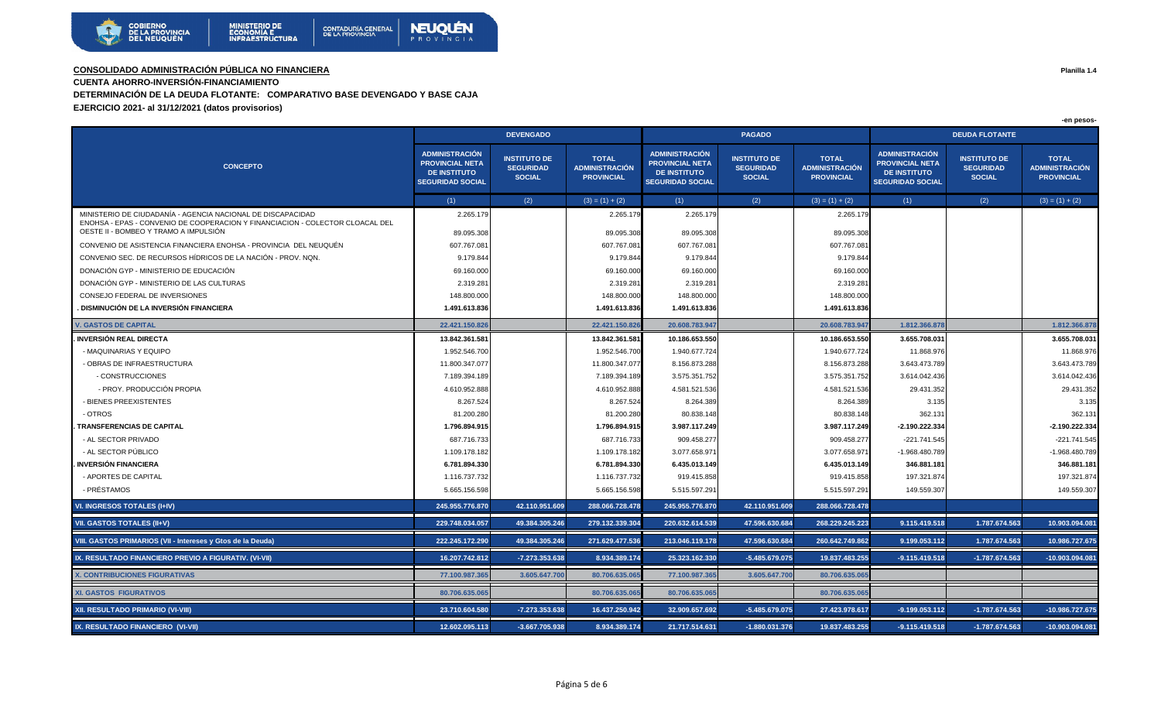

**CUENTA AHORRO-INVERSIÓN-FINANCIAMIENTO** 

**DETERMINACIÓN DE LA DEUDA FLOTANTE: COMPARATIVO BASE DEVENGADO Y BASE CAJA**

**EJERCICIO 2021- al 31/12/2021 (datos provisorios)**

|                                                                                                                                                                                       | <b>DEVENGADO</b>                                                                                  |                                                          |                                                            |                                                                                                   | <b>PAGADO</b>                                            |                                                     | <b>DEUDA FLOTANTE</b>                                                                             |                                                          |                                                            |  |
|---------------------------------------------------------------------------------------------------------------------------------------------------------------------------------------|---------------------------------------------------------------------------------------------------|----------------------------------------------------------|------------------------------------------------------------|---------------------------------------------------------------------------------------------------|----------------------------------------------------------|-----------------------------------------------------|---------------------------------------------------------------------------------------------------|----------------------------------------------------------|------------------------------------------------------------|--|
| <b>CONCEPTO</b>                                                                                                                                                                       | <b>ADMINISTRACIÓN</b><br><b>PROVINCIAL NETA</b><br><b>DE INSTITUTO</b><br><b>SEGURIDAD SOCIAL</b> | <b>INSTITUTO DE</b><br><b>SEGURIDAD</b><br><b>SOCIAL</b> | <b>TOTAL</b><br><b>ADMINISTRACIÓN</b><br><b>PROVINCIAL</b> | <b>ADMINISTRACIÓN</b><br><b>PROVINCIAL NETA</b><br><b>DE INSTITUTO</b><br><b>SEGURIDAD SOCIAL</b> | <b>INSTITUTO DE</b><br><b>SEGURIDAD</b><br><b>SOCIAL</b> | <b>TOTAL</b><br>ADMINISTRACIÓN<br><b>PROVINCIAL</b> | <b>ADMINISTRACIÓN</b><br><b>PROVINCIAL NETA</b><br><b>DE INSTITUTO</b><br><b>SEGURIDAD SOCIAL</b> | <b>INSTITUTO DE</b><br><b>SEGURIDAD</b><br><b>SOCIAL</b> | <b>TOTAL</b><br><b>ADMINISTRACIÓN</b><br><b>PROVINCIAL</b> |  |
|                                                                                                                                                                                       | (1)                                                                                               | (2)                                                      | $(3) = (1) + (2)$                                          | (1)                                                                                               | (2)                                                      | $(3) = (1) + (2)$                                   | (1)                                                                                               | (2)                                                      | $(3) = (1) + (2)$                                          |  |
| MINISTERIO DE CIUDADANÍA - AGENCIA NACIONAL DE DISCAPACIDAD<br>ENOHSA - EPAS - CONVENIO DE COOPERACION Y FINANCIACION - COLECTOR CLOACAL DEL<br>OESTE II - BOMBEO Y TRAMO A IMPULSIÓN | 2.265.179<br>89.095.308                                                                           |                                                          | 2.265.17<br>89.095.308                                     | 2.265.179<br>89.095.308                                                                           |                                                          | 2.265.179<br>89.095.308                             |                                                                                                   |                                                          |                                                            |  |
| CONVENIO DE ASISTENCIA FINANCIERA ENOHSA - PROVINCIA DEL NEUQUÉN                                                                                                                      | 607.767.08                                                                                        |                                                          | 607.767.08                                                 | 607.767.081                                                                                       |                                                          | 607.767.081                                         |                                                                                                   |                                                          |                                                            |  |
| CONVENIO SEC. DE RECURSOS HÍDRICOS DE LA NACIÓN - PROV. NON.                                                                                                                          | 9.179.844                                                                                         |                                                          | 9.179.844                                                  | 9.179.844                                                                                         |                                                          | 9.179.844                                           |                                                                                                   |                                                          |                                                            |  |
| DONACIÓN GYP - MINISTERIO DE EDUCACIÓN                                                                                                                                                | 69.160.000                                                                                        |                                                          | 69.160.000                                                 | 69.160.000                                                                                        |                                                          | 69.160.000                                          |                                                                                                   |                                                          |                                                            |  |
| DONACIÓN GYP - MINISTERIO DE LAS CULTURAS                                                                                                                                             | 2.319.28                                                                                          |                                                          | 2.319.281                                                  | 2.319.281                                                                                         |                                                          | 2.319.281                                           |                                                                                                   |                                                          |                                                            |  |
| CONSEJO FEDERAL DE INVERSIONES                                                                                                                                                        | 148.800.000                                                                                       |                                                          | 148.800.000                                                | 148.800.000                                                                                       |                                                          | 148.800.000                                         |                                                                                                   |                                                          |                                                            |  |
| . DISMINUCIÓN DE LA INVERSIÓN FINANCIERA                                                                                                                                              | 1.491.613.836                                                                                     |                                                          | 1.491.613.836                                              | 1.491.613.836                                                                                     |                                                          | 1.491.613.836                                       |                                                                                                   |                                                          |                                                            |  |
| <b>V. GASTOS DE CAPITAL</b>                                                                                                                                                           | 22.421.150.826                                                                                    |                                                          | 22.421.150.826                                             | 20.608.783.947                                                                                    |                                                          | 20.608.783.947                                      | 1.812.366.878                                                                                     |                                                          | 1.812.366.878                                              |  |
| <b>INVERSION REAL DIRECTA</b>                                                                                                                                                         | 13.842.361.581                                                                                    |                                                          | 13.842.361.581                                             | 10.186.653.550                                                                                    |                                                          | 10.186.653.550                                      | 3.655.708.031                                                                                     |                                                          | 3.655.708.031                                              |  |
| - MAQUINARIAS Y EQUIPO                                                                                                                                                                | 1.952.546.700                                                                                     |                                                          | 1.952.546.700                                              | 1.940.677.724                                                                                     |                                                          | 1.940.677.724                                       | 11.868.976                                                                                        |                                                          | 11.868.976                                                 |  |
| - OBRAS DE INFRAESTRUCTURA                                                                                                                                                            | 11.800.347.077                                                                                    |                                                          | 11.800.347.077                                             | 8.156.873.288                                                                                     |                                                          | 8.156.873.288                                       | 3.643.473.789                                                                                     |                                                          | 3.643.473.789                                              |  |
| - CONSTRUCCIONES                                                                                                                                                                      | 7.189.394.189                                                                                     |                                                          | 7.189.394.189                                              | 3.575.351.752                                                                                     |                                                          | 3.575.351.752                                       | 3.614.042.436                                                                                     |                                                          | 3.614.042.436                                              |  |
| - PROY. PRODUCCIÓN PROPIA                                                                                                                                                             | 4.610.952.888                                                                                     |                                                          | 4.610.952.888                                              | 4.581.521.536                                                                                     |                                                          | 4.581.521.536                                       | 29.431.352                                                                                        |                                                          | 29.431.352                                                 |  |
| - BIENES PREEXISTENTES                                                                                                                                                                | 8.267.524                                                                                         |                                                          | 8.267.524                                                  | 8.264.389                                                                                         |                                                          | 8.264.389                                           | 3.135                                                                                             |                                                          | 3.135                                                      |  |
| - OTROS                                                                                                                                                                               | 81.200.280                                                                                        |                                                          | 81.200.280                                                 | 80.838.148                                                                                        |                                                          | 80.838.148                                          | 362.131                                                                                           |                                                          | 362.131                                                    |  |
| TRANSFERENCIAS DE CAPITAL                                                                                                                                                             | 1.796.894.915                                                                                     |                                                          | 1.796.894.915                                              | 3.987.117.249                                                                                     |                                                          | 3.987.117.249                                       | -2.190.222.334                                                                                    |                                                          | $-2.190.222.334$                                           |  |
| - AL SECTOR PRIVADO                                                                                                                                                                   | 687.716.733                                                                                       |                                                          | 687.716.733                                                | 909.458.277                                                                                       |                                                          | 909.458.277                                         | -221.741.545                                                                                      |                                                          | -221.741.545                                               |  |
| - AL SECTOR PÚBLICO                                                                                                                                                                   | 1.109.178.182                                                                                     |                                                          | 1.109.178.182                                              | 3.077.658.971                                                                                     |                                                          | 3.077.658.971                                       | -1.968.480.789                                                                                    |                                                          | -1.968.480.789                                             |  |
| <b>INVERSIÓN FINANCIERA</b>                                                                                                                                                           | 6.781.894.330                                                                                     |                                                          | 6.781.894.330                                              | 6.435.013.149                                                                                     |                                                          | 6.435.013.149                                       | 346.881.181                                                                                       |                                                          | 346.881.181                                                |  |
| - APORTES DE CAPITAL                                                                                                                                                                  | 1.116.737.732                                                                                     |                                                          | 1.116.737.732                                              | 919.415.858                                                                                       |                                                          | 919.415.858                                         | 197.321.874                                                                                       |                                                          | 197.321.874                                                |  |
| - PRÉSTAMOS                                                                                                                                                                           | 5.665.156.598                                                                                     |                                                          | 5.665.156.598                                              | 5.515.597.291                                                                                     |                                                          | 5.515.597.291                                       | 149.559.307                                                                                       |                                                          | 149.559.307                                                |  |
| VI. INGRESOS TOTALES (I+IV)                                                                                                                                                           | 245.955.776.870                                                                                   | 42.110.951.609                                           | 288.066.728.478                                            | 245.955.776.870                                                                                   | 42.110.951.609                                           | 288.066.728.478                                     |                                                                                                   |                                                          |                                                            |  |
| VII. GASTOS TOTALES (II+V)                                                                                                                                                            | 229.748.034.057                                                                                   | 49.384.305.246                                           | 279.132.339.304                                            | 220.632.614.539                                                                                   | 47.596.630.684                                           | 268.229.245.223                                     | 9.115.419.518                                                                                     | 1.787.674.563                                            | 10.903.094.081                                             |  |
| VIII. GASTOS PRIMARIOS (VII - Intereses y Gtos de la Deuda)                                                                                                                           | 222.245.172.290                                                                                   | 49.384.305.246                                           | 271.629.477.536                                            | 213.046.119.178                                                                                   | 47.596.630.684                                           | 260.642.749.862                                     | 9.199.053.112                                                                                     | 1.787.674.563                                            | 10.986.727.675                                             |  |
| IX. RESULTADO FINANCIERO PREVIO A FIGURATIV. (VI-VII)                                                                                                                                 | 16.207.742.812                                                                                    | -7.273.353.638                                           | 8.934.389.174                                              | 25.323.162.330                                                                                    | -5.485.679.075                                           | 19.837.483.255                                      | $-9.115.419.518$                                                                                  | $-1.787.674.563$                                         | -10.903.094.081                                            |  |
| <b>X. CONTRIBUCIONES FIGURATIVAS</b>                                                                                                                                                  | 77.100.987.365                                                                                    | 3.605.647.700                                            | 80.706.635.06                                              | 77.100.987.365                                                                                    | 3.605.647.700                                            | 80.706.635.06                                       |                                                                                                   |                                                          |                                                            |  |
| <b>XI. GASTOS FIGURATIVOS</b>                                                                                                                                                         | 80.706.635.065                                                                                    |                                                          | 80.706.635.06                                              | 80.706.635.06                                                                                     |                                                          | 80.706.635.06                                       |                                                                                                   |                                                          |                                                            |  |
| XII. RESULTADO PRIMARIO (VI-VIII)                                                                                                                                                     | 23.710.604.580                                                                                    | -7.273.353.638                                           | 16.437.250.942                                             | 32.909.657.692                                                                                    | $-5.485.679.075$                                         | 27.423.978.617                                      | $-9.199.053.112$                                                                                  | $-1.787.674.563$                                         | -10.986.727.675                                            |  |
| IX. RESULTADO FINANCIERO (VI-VII)                                                                                                                                                     | 12.602.095.113                                                                                    | $-3.667.705.938$                                         | 8.934.389.174                                              | 21.717.514.631                                                                                    | $-1.880.031.376$                                         | 19.837.483.255                                      | $-9.115.419.518$                                                                                  | $-1.787.674.563$                                         | $-10.903.094.081$                                          |  |

**Planilla 1.4**